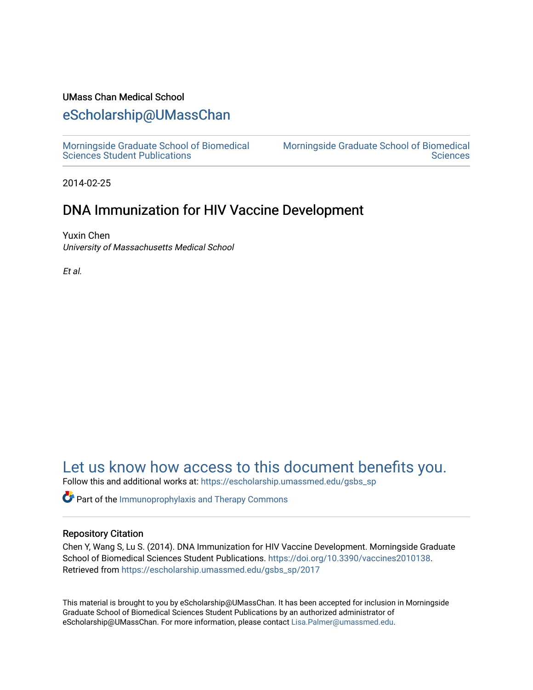#### UMass Chan Medical School

# [eScholarship@UMassChan](https://escholarship.umassmed.edu/)

[Morningside Graduate School of Biomedical](https://escholarship.umassmed.edu/gsbs_sp)  [Sciences Student Publications](https://escholarship.umassmed.edu/gsbs_sp) 

[Morningside Graduate School of Biomedical](https://escholarship.umassmed.edu/gsbs)  **Sciences** 

2014-02-25

# DNA Immunization for HIV Vaccine Development

Yuxin Chen University of Massachusetts Medical School

Et al.

# [Let us know how access to this document benefits you.](https://arcsapps.umassmed.edu/redcap/surveys/?s=XWRHNF9EJE)

Follow this and additional works at: [https://escholarship.umassmed.edu/gsbs\\_sp](https://escholarship.umassmed.edu/gsbs_sp?utm_source=escholarship.umassmed.edu%2Fgsbs_sp%2F2017&utm_medium=PDF&utm_campaign=PDFCoverPages)

**P** Part of the Immunoprophylaxis and Therapy Commons

#### Repository Citation

Chen Y, Wang S, Lu S. (2014). DNA Immunization for HIV Vaccine Development. Morningside Graduate School of Biomedical Sciences Student Publications. [https://doi.org/10.3390/vaccines2010138.](https://doi.org/10.3390/vaccines2010138) Retrieved from [https://escholarship.umassmed.edu/gsbs\\_sp/2017](https://escholarship.umassmed.edu/gsbs_sp/2017?utm_source=escholarship.umassmed.edu%2Fgsbs_sp%2F2017&utm_medium=PDF&utm_campaign=PDFCoverPages) 

This material is brought to you by eScholarship@UMassChan. It has been accepted for inclusion in Morningside Graduate School of Biomedical Sciences Student Publications by an authorized administrator of eScholarship@UMassChan. For more information, please contact [Lisa.Palmer@umassmed.edu](mailto:Lisa.Palmer@umassmed.edu).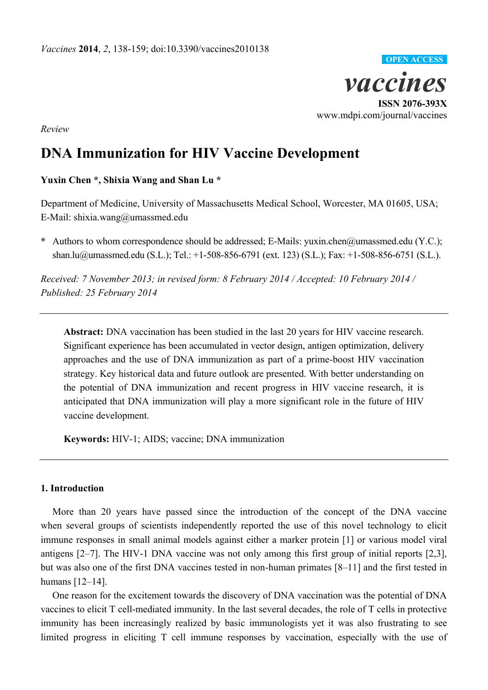

*Review*

# **DNA Immunization for HIV Vaccine Development**

## **Yuxin Chen \*, Shixia Wang and Shan Lu \***

Department of Medicine, University of Massachusetts Medical School, Worcester, MA 01605, USA; E-Mail: shixia.wang@umassmed.edu

**\*** Authors to whom correspondence should be addressed; E-Mails: yuxin.chen@umassmed.edu (Y.C.); shan.lu@umassmed.edu (S.L.); Tel.: +1-508-856-6791 (ext. 123) (S.L.); Fax: +1-508-856-6751 (S.L.).

*Received: 7 November 2013; in revised form: 8 February 2014 / Accepted: 10 February 2014 / Published: 25 February 2014*

**Abstract:** DNA vaccination has been studied in the last 20 years for HIV vaccine research. Significant experience has been accumulated in vector design, antigen optimization, delivery approaches and the use of DNA immunization as part of a prime-boost HIV vaccination strategy. Key historical data and future outlook are presented. With better understanding on the potential of DNA immunization and recent progress in HIV vaccine research, it is anticipated that DNA immunization will play a more significant role in the future of HIV vaccine development.

**Keywords:** HIV-1; AIDS; vaccine; DNA immunization

### **1. Introduction**

More than 20 years have passed since the introduction of the concept of the DNA vaccine when several groups of scientists independently reported the use of this novel technology to elicit immune responses in small animal models against either a marker protein [1] or various model viral antigens [2–7]. The HIV-1 DNA vaccine was not only among this first group of initial reports [2,3], but was also one of the first DNA vaccines tested in non-human primates [8–11] and the first tested in humans [12–14].

One reason for the excitement towards the discovery of DNA vaccination was the potential of DNA vaccines to elicit T cell-mediated immunity. In the last several decades, the role of T cells in protective immunity has been increasingly realized by basic immunologists yet it was also frustrating to see limited progress in eliciting T cell immune responses by vaccination, especially with the use of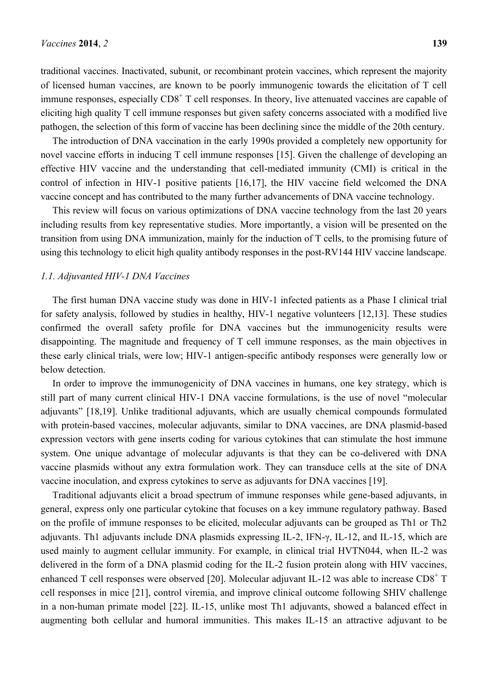traditional vaccines. Inactivated, subunit, or recombinant protein vaccines, which represent the majority of licensed human vaccines, are known to be poorly immunogenic towards the elicitation of T cell immune responses, especially CD8<sup>+</sup> T cell responses. In theory, live attenuated vaccines are capable of eliciting high quality T cell immune responses but given safety concerns associated with a modified live pathogen, the selection of this form of vaccine has been declining since the middle of the 20th century.

The introduction of DNA vaccination in the early 1990s provided a completely new opportunity for novel vaccine efforts in inducing T cell immune responses [15]. Given the challenge of developing an effective HIV vaccine and the understanding that cell-mediated immunity (CMI) is critical in the control of infection in HIV-1 positive patients [16,17], the HIV vaccine field welcomed the DNA vaccine concept and has contributed to the many further advancements of DNA vaccine technology.

This review will focus on various optimizations of DNA vaccine technology from the last 20 years including results from key representative studies. More importantly, a vision will be presented on the transition from using DNA immunization, mainly for the induction of T cells, to the promising future of using this technology to elicit high quality antibody responses in the post-RV144 HIV vaccine landscape.

#### *1.1. Adjuvanted HIV-1 DNA Vaccines*

The first human DNA vaccine study was done in HIV-1 infected patients as a Phase I clinical trial for safety analysis, followed by studies in healthy, HIV-1 negative volunteers [12,13]. These studies confirmed the overall safety profile for DNA vaccines but the immunogenicity results were disappointing. The magnitude and frequency of T cell immune responses, as the main objectives in these early clinical trials, were low; HIV-1 antigen-specific antibody responses were generally low or below detection.

In order to improve the immunogenicity of DNA vaccines in humans, one key strategy, which is still part of many current clinical HIV-1 DNA vaccine formulations, is the use of novel "molecular adjuvants‖ [18,19]. Unlike traditional adjuvants, which are usually chemical compounds formulated with protein-based vaccines, molecular adjuvants, similar to DNA vaccines, are DNA plasmid-based expression vectors with gene inserts coding for various cytokines that can stimulate the host immune system. One unique advantage of molecular adjuvants is that they can be co-delivered with DNA vaccine plasmids without any extra formulation work. They can transduce cells at the site of DNA vaccine inoculation, and express cytokines to serve as adjuvants for DNA vaccines [19].

Traditional adjuvants elicit a broad spectrum of immune responses while gene-based adjuvants, in general, express only one particular cytokine that focuses on a key immune regulatory pathway. Based on the profile of immune responses to be elicited, molecular adjuvants can be grouped as Th1 or Th2 adjuvants. Th1 adjuvants include DNA plasmids expressing IL-2, IFN-γ, IL-12, and IL-15, which are used mainly to augment cellular immunity. For example, in clinical trial HVTN044, when IL-2 was delivered in the form of a DNA plasmid coding for the IL-2 fusion protein along with HIV vaccines, enhanced T cell responses were observed [20]. Molecular adjuvant IL-12 was able to increase CD8<sup>+</sup> T cell responses in mice [21], control viremia, and improve clinical outcome following SHIV challenge in a non-human primate model [22]. IL-15, unlike most Th1 adjuvants, showed a balanced effect in augmenting both cellular and humoral immunities. This makes IL-15 an attractive adjuvant to be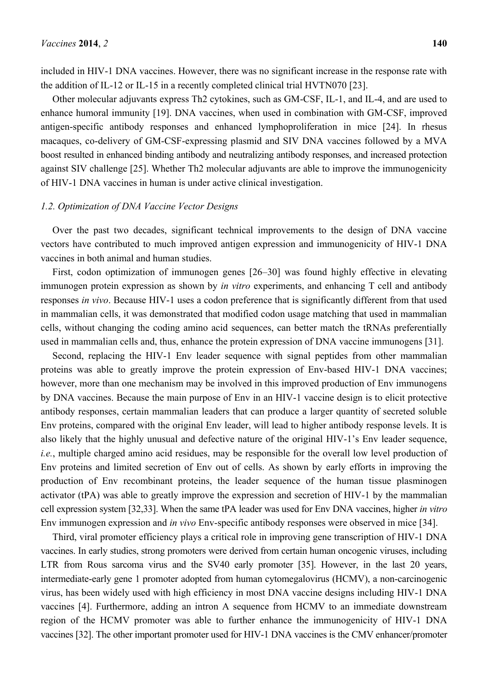included in HIV-1 DNA vaccines. However, there was no significant increase in the response rate with the addition of IL-12 or IL-15 in a recently completed clinical trial HVTN070 [23].

Other molecular adjuvants express Th2 cytokines, such as GM-CSF, IL-1, and IL-4, and are used to enhance humoral immunity [19]. DNA vaccines, when used in combination with GM-CSF, improved antigen-specific antibody responses and enhanced lymphoproliferation in mice [24]. In rhesus macaques, co-delivery of GM-CSF-expressing plasmid and SIV DNA vaccines followed by a MVA boost resulted in enhanced binding antibody and neutralizing antibody responses, and increased protection against SIV challenge [25]. Whether Th2 molecular adjuvants are able to improve the immunogenicity of HIV-1 DNA vaccines in human is under active clinical investigation.

#### *1.2. Optimization of DNA Vaccine Vector Designs*

Over the past two decades, significant technical improvements to the design of DNA vaccine vectors have contributed to much improved antigen expression and immunogenicity of HIV-1 DNA vaccines in both animal and human studies.

First, codon optimization of immunogen genes [26–30] was found highly effective in elevating immunogen protein expression as shown by *in vitro* experiments, and enhancing T cell and antibody responses *in vivo*. Because HIV-1 uses a codon preference that is significantly different from that used in mammalian cells, it was demonstrated that modified codon usage matching that used in mammalian cells, without changing the coding amino acid sequences, can better match the tRNAs preferentially used in mammalian cells and, thus, enhance the protein expression of DNA vaccine immunogens [31].

Second, replacing the HIV-1 Env leader sequence with signal peptides from other mammalian proteins was able to greatly improve the protein expression of Env-based HIV-1 DNA vaccines; however, more than one mechanism may be involved in this improved production of Env immunogens by DNA vaccines. Because the main purpose of Env in an HIV-1 vaccine design is to elicit protective antibody responses, certain mammalian leaders that can produce a larger quantity of secreted soluble Env proteins, compared with the original Env leader, will lead to higher antibody response levels. It is also likely that the highly unusual and defective nature of the original HIV-1's Env leader sequence, *i.e.*, multiple charged amino acid residues, may be responsible for the overall low level production of Env proteins and limited secretion of Env out of cells. As shown by early efforts in improving the production of Env recombinant proteins, the leader sequence of the human tissue plasminogen activator (tPA) was able to greatly improve the expression and secretion of HIV-1 by the mammalian cell expression system [32,33]. When the same tPA leader was used for Env DNA vaccines, higher *in vitro* Env immunogen expression and *in vivo* Env-specific antibody responses were observed in mice [34].

Third, viral promoter efficiency plays a critical role in improving gene transcription of HIV-1 DNA vaccines. In early studies, strong promoters were derived from certain human oncogenic viruses, including LTR from Rous sarcoma virus and the SV40 early promoter [35]. However, in the last 20 years, intermediate-early gene 1 promoter adopted from human cytomegalovirus (HCMV), a non-carcinogenic virus, has been widely used with high efficiency in most DNA vaccine designs including HIV-1 DNA vaccines [4]. Furthermore, adding an intron A sequence from HCMV to an immediate downstream region of the HCMV promoter was able to further enhance the immunogenicity of HIV-1 DNA vaccines [32]. The other important promoter used for HIV-1 DNA vaccines is the CMV enhancer/promoter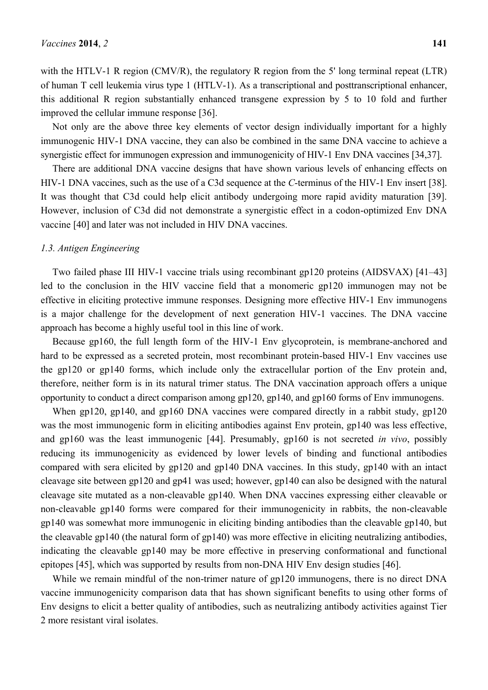with the HTLV-1 R region (CMV/R), the regulatory R region from the 5' long terminal repeat (LTR) of human T cell leukemia virus type 1 (HTLV-1). As a transcriptional and posttranscriptional enhancer, this additional R region substantially enhanced transgene expression by 5 to 10 fold and further improved the cellular immune response [36].

Not only are the above three key elements of vector design individually important for a highly immunogenic HIV-1 DNA vaccine, they can also be combined in the same DNA vaccine to achieve a synergistic effect for immunogen expression and immunogenicity of HIV-1 Env DNA vaccines [34,37].

There are additional DNA vaccine designs that have shown various levels of enhancing effects on HIV-1 DNA vaccines, such as the use of a C3d sequence at the *C*-terminus of the HIV-1 Env insert [38]. It was thought that C3d could help elicit antibody undergoing more rapid avidity maturation [39]. However, inclusion of C3d did not demonstrate a synergistic effect in a codon-optimized Env DNA vaccine [40] and later was not included in HIV DNA vaccines.

#### *1.3. Antigen Engineering*

Two failed phase III HIV-1 vaccine trials using recombinant gp120 proteins (AIDSVAX) [41–43] led to the conclusion in the HIV vaccine field that a monomeric gp120 immunogen may not be effective in eliciting protective immune responses. Designing more effective HIV-1 Env immunogens is a major challenge for the development of next generation HIV-1 vaccines. The DNA vaccine approach has become a highly useful tool in this line of work.

Because gp160, the full length form of the HIV-1 Env glycoprotein, is membrane-anchored and hard to be expressed as a secreted protein, most recombinant protein-based HIV-1 Env vaccines use the gp120 or gp140 forms, which include only the extracellular portion of the Env protein and, therefore, neither form is in its natural trimer status. The DNA vaccination approach offers a unique opportunity to conduct a direct comparison among gp120, gp140, and gp160 forms of Env immunogens.

When gp120, gp140, and gp160 DNA vaccines were compared directly in a rabbit study, gp120 was the most immunogenic form in eliciting antibodies against Env protein, gp140 was less effective, and gp160 was the least immunogenic [44]. Presumably, gp160 is not secreted *in vivo*, possibly reducing its immunogenicity as evidenced by lower levels of binding and functional antibodies compared with sera elicited by gp120 and gp140 DNA vaccines. In this study, gp140 with an intact cleavage site between gp120 and gp41 was used; however, gp140 can also be designed with the natural cleavage site mutated as a non-cleavable gp140. When DNA vaccines expressing either cleavable or non-cleavable gp140 forms were compared for their immunogenicity in rabbits, the non-cleavable gp140 was somewhat more immunogenic in eliciting binding antibodies than the cleavable gp140, but the cleavable gp140 (the natural form of gp140) was more effective in eliciting neutralizing antibodies, indicating the cleavable gp140 may be more effective in preserving conformational and functional epitopes [45], which was supported by results from non-DNA HIV Env design studies [46].

While we remain mindful of the non-trimer nature of gp120 immunogens, there is no direct DNA vaccine immunogenicity comparison data that has shown significant benefits to using other forms of Env designs to elicit a better quality of antibodies, such as neutralizing antibody activities against Tier 2 more resistant viral isolates.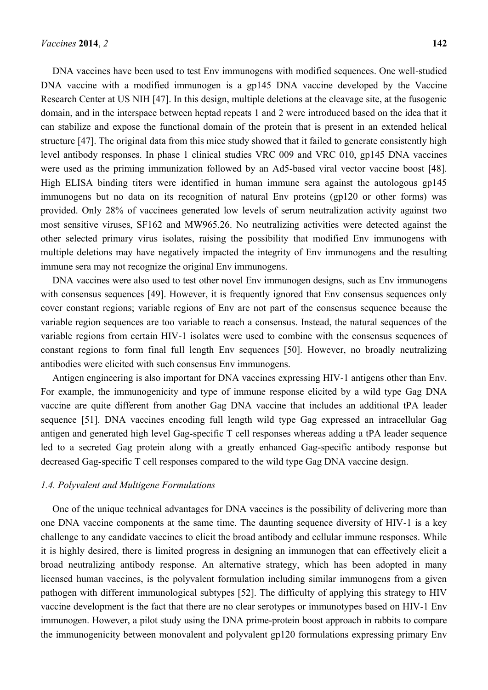DNA vaccines have been used to test Env immunogens with modified sequences. One well-studied DNA vaccine with a modified immunogen is a gp145 DNA vaccine developed by the Vaccine Research Center at US NIH [47]. In this design, multiple deletions at the cleavage site, at the fusogenic domain, and in the interspace between heptad repeats 1 and 2 were introduced based on the idea that it can stabilize and expose the functional domain of the protein that is present in an extended helical structure [47]. The original data from this mice study showed that it failed to generate consistently high level antibody responses. In phase 1 clinical studies VRC 009 and VRC 010, gp145 DNA vaccines were used as the priming immunization followed by an Ad5-based viral vector vaccine boost [48]. High ELISA binding titers were identified in human immune sera against the autologous gp145 immunogens but no data on its recognition of natural Env proteins (gp120 or other forms) was provided. Only 28% of vaccinees generated low levels of serum neutralization activity against two most sensitive viruses, SF162 and MW965.26. No neutralizing activities were detected against the other selected primary virus isolates, raising the possibility that modified Env immunogens with multiple deletions may have negatively impacted the integrity of Env immunogens and the resulting immune sera may not recognize the original Env immunogens.

DNA vaccines were also used to test other novel Env immunogen designs, such as Env immunogens with consensus sequences [49]. However, it is frequently ignored that Env consensus sequences only cover constant regions; variable regions of Env are not part of the consensus sequence because the variable region sequences are too variable to reach a consensus. Instead, the natural sequences of the variable regions from certain HIV-1 isolates were used to combine with the consensus sequences of constant regions to form final full length Env sequences [50]. However, no broadly neutralizing antibodies were elicited with such consensus Env immunogens.

Antigen engineering is also important for DNA vaccines expressing HIV-1 antigens other than Env. For example, the immunogenicity and type of immune response elicited by a wild type Gag DNA vaccine are quite different from another Gag DNA vaccine that includes an additional tPA leader sequence [51]. DNA vaccines encoding full length wild type Gag expressed an intracellular Gag antigen and generated high level Gag-specific T cell responses whereas adding a tPA leader sequence led to a secreted Gag protein along with a greatly enhanced Gag-specific antibody response but decreased Gag-specific T cell responses compared to the wild type Gag DNA vaccine design.

#### *1.4. Polyvalent and Multigene Formulations*

One of the unique technical advantages for DNA vaccines is the possibility of delivering more than one DNA vaccine components at the same time. The daunting sequence diversity of HIV-1 is a key challenge to any candidate vaccines to elicit the broad antibody and cellular immune responses. While it is highly desired, there is limited progress in designing an immunogen that can effectively elicit a broad neutralizing antibody response. An alternative strategy, which has been adopted in many licensed human vaccines, is the polyvalent formulation including similar immunogens from a given pathogen with different immunological subtypes [52]. The difficulty of applying this strategy to HIV vaccine development is the fact that there are no clear serotypes or immunotypes based on HIV-1 Env immunogen. However, a pilot study using the DNA prime-protein boost approach in rabbits to compare the immunogenicity between monovalent and polyvalent gp120 formulations expressing primary Env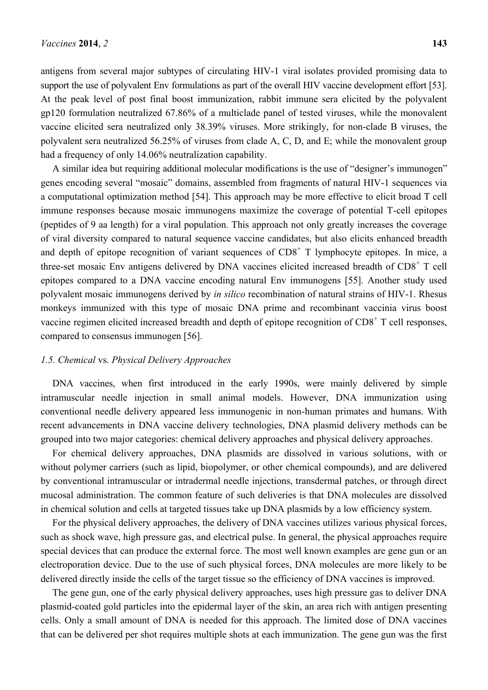antigens from several major subtypes of circulating HIV-1 viral isolates provided promising data to support the use of polyvalent Env formulations as part of the overall HIV vaccine development effort [53]. At the peak level of post final boost immunization, rabbit immune sera elicited by the polyvalent gp120 formulation neutralized 67.86% of a multiclade panel of tested viruses, while the monovalent vaccine elicited sera neutralized only 38.39% viruses. More strikingly, for non-clade B viruses, the polyvalent sera neutralized 56.25% of viruses from clade A, C, D, and E; while the monovalent group had a frequency of only 14.06% neutralization capability.

A similar idea but requiring additional molecular modifications is the use of "designer's immunogen" genes encoding several "mosaic" domains, assembled from fragments of natural HIV-1 sequences via a computational optimization method [54]. This approach may be more effective to elicit broad T cell immune responses because mosaic immunogens maximize the coverage of potential T-cell epitopes (peptides of 9 aa length) for a viral population. This approach not only greatly increases the coverage of viral diversity compared to natural sequence vaccine candidates, but also elicits enhanced breadth and depth of epitope recognition of variant sequences of  $CD8<sup>+</sup>$  T lymphocyte epitopes. In mice, a three-set mosaic Env antigens delivered by DNA vaccines elicited increased breadth of CD8<sup>+</sup> T cell epitopes compared to a DNA vaccine encoding natural Env immunogens [55]. Another study used polyvalent mosaic immunogens derived by *in silico* recombination of natural strains of HIV-1. Rhesus monkeys immunized with this type of mosaic DNA prime and recombinant vaccinia virus boost vaccine regimen elicited increased breadth and depth of epitope recognition of CD8<sup>+</sup> T cell responses, compared to consensus immunogen [56].

#### *1.5. Chemical* vs*. Physical Delivery Approaches*

DNA vaccines, when first introduced in the early 1990s, were mainly delivered by simple intramuscular needle injection in small animal models. However, DNA immunization using conventional needle delivery appeared less immunogenic in non-human primates and humans. With recent advancements in DNA vaccine delivery technologies, DNA plasmid delivery methods can be grouped into two major categories: chemical delivery approaches and physical delivery approaches.

For chemical delivery approaches, DNA plasmids are dissolved in various solutions, with or without polymer carriers (such as lipid, biopolymer, or other chemical compounds), and are delivered by conventional intramuscular or intradermal needle injections, transdermal patches, or through direct mucosal administration. The common feature of such deliveries is that DNA molecules are dissolved in chemical solution and cells at targeted tissues take up DNA plasmids by a low efficiency system.

For the physical delivery approaches, the delivery of DNA vaccines utilizes various physical forces, such as shock wave, high pressure gas, and electrical pulse. In general, the physical approaches require special devices that can produce the external force. The most well known examples are gene gun or an electroporation device. Due to the use of such physical forces, DNA molecules are more likely to be delivered directly inside the cells of the target tissue so the efficiency of DNA vaccines is improved.

The gene gun, one of the early physical delivery approaches, uses high pressure gas to deliver DNA plasmid-coated gold particles into the epidermal layer of the skin, an area rich with antigen presenting cells. Only a small amount of DNA is needed for this approach. The limited dose of DNA vaccines that can be delivered per shot requires multiple shots at each immunization. The gene gun was the first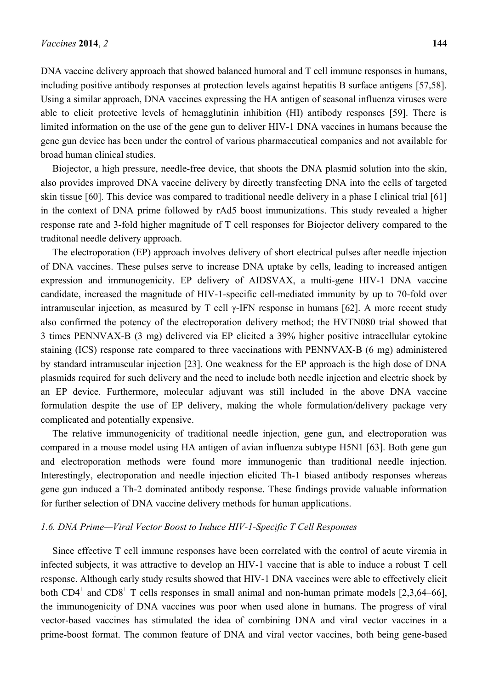DNA vaccine delivery approach that showed balanced humoral and T cell immune responses in humans, including positive antibody responses at protection levels against hepatitis B surface antigens [57,58]. Using a similar approach, DNA vaccines expressing the HA antigen of seasonal influenza viruses were able to elicit protective levels of hemagglutinin inhibition (HI) antibody responses [59]. There is limited information on the use of the gene gun to deliver HIV-1 DNA vaccines in humans because the gene gun device has been under the control of various pharmaceutical companies and not available for broad human clinical studies.

Biojector, a high pressure, needle-free device, that shoots the DNA plasmid solution into the skin, also provides improved DNA vaccine delivery by directly transfecting DNA into the cells of targeted skin tissue [60]. This device was compared to traditional needle delivery in a phase I clinical trial [61] in the context of DNA prime followed by rAd5 boost immunizations. This study revealed a higher response rate and 3-fold higher magnitude of T cell responses for Biojector delivery compared to the traditonal needle delivery approach.

The electroporation (EP) approach involves delivery of short electrical pulses after needle injection of DNA vaccines. These pulses serve to increase DNA uptake by cells, leading to increased antigen expression and immunogenicity. EP delivery of AIDSVAX, a multi-gene HIV-1 DNA vaccine candidate, increased the magnitude of HIV-1-specific cell-mediated immunity by up to 70-fold over intramuscular injection, as measured by T cell  $\gamma$ -IFN response in humans [62]. A more recent study also confirmed the potency of the electroporation delivery method; the HVTN080 trial showed that 3 times PENNVAX-B (3 mg) delivered via EP elicited a 39% higher positive intracellular cytokine staining (ICS) response rate compared to three vaccinations with PENNVAX-B (6 mg) administered by standard intramuscular injection [23]. One weakness for the EP approach is the high dose of DNA plasmids required for such delivery and the need to include both needle injection and electric shock by an EP device. Furthermore, molecular adjuvant was still included in the above DNA vaccine formulation despite the use of EP delivery, making the whole formulation/delivery package very complicated and potentially expensive.

The relative immunogenicity of traditional needle injection, gene gun, and electroporation was compared in a mouse model using HA antigen of avian influenza subtype H5N1 [63]. Both gene gun and electroporation methods were found more immunogenic than traditional needle injection. Interestingly, electroporation and needle injection elicited Th-1 biased antibody responses whereas gene gun induced a Th-2 dominated antibody response. These findings provide valuable information for further selection of DNA vaccine delivery methods for human applications.

#### *1.6. DNA Prime—Viral Vector Boost to Induce HIV-1-Specific T Cell Responses*

Since effective T cell immune responses have been correlated with the control of acute viremia in infected subjects, it was attractive to develop an HIV-1 vaccine that is able to induce a robust T cell response. Although early study results showed that HIV-1 DNA vaccines were able to effectively elicit both  $CD4^+$  and  $CD8^+$  T cells responses in small animal and non-human primate models [2,3,64–66], the immunogenicity of DNA vaccines was poor when used alone in humans. The progress of viral vector-based vaccines has stimulated the idea of combining DNA and viral vector vaccines in a prime-boost format. The common feature of DNA and viral vector vaccines, both being gene-based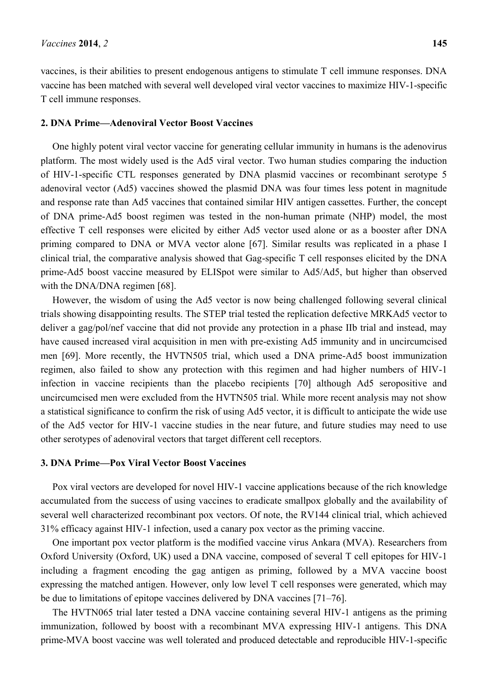vaccines, is their abilities to present endogenous antigens to stimulate T cell immune responses. DNA vaccine has been matched with several well developed viral vector vaccines to maximize HIV-1-specific T cell immune responses.

#### **2. DNA Prime—Adenoviral Vector Boost Vaccines**

One highly potent viral vector vaccine for generating cellular immunity in humans is the adenovirus platform. The most widely used is the Ad5 viral vector. Two human studies comparing the induction of HIV-1-specific CTL responses generated by DNA plasmid vaccines or recombinant serotype 5 adenoviral vector (Ad5) vaccines showed the plasmid DNA was four times less potent in magnitude and response rate than Ad5 vaccines that contained similar HIV antigen cassettes. Further, the concept of DNA prime-Ad5 boost regimen was tested in the non-human primate (NHP) model, the most effective T cell responses were elicited by either Ad5 vector used alone or as a booster after DNA priming compared to DNA or MVA vector alone [67]. Similar results was replicated in a phase I clinical trial, the comparative analysis showed that Gag-specific T cell responses elicited by the DNA prime-Ad5 boost vaccine measured by ELISpot were similar to Ad5/Ad5, but higher than observed with the DNA/DNA regimen [68].

However, the wisdom of using the Ad5 vector is now being challenged following several clinical trials showing disappointing results. The STEP trial tested the replication defective MRKAd5 vector to deliver a gag/pol/nef vaccine that did not provide any protection in a phase IIb trial and instead, may have caused increased viral acquisition in men with pre-existing Ad5 immunity and in uncircumcised men [69]. More recently, the HVTN505 trial, which used a DNA prime-Ad5 boost immunization regimen, also failed to show any protection with this regimen and had higher numbers of HIV-1 infection in vaccine recipients than the placebo recipients [70] although Ad5 seropositive and uncircumcised men were excluded from the HVTN505 trial. While more recent analysis may not show a statistical significance to confirm the risk of using Ad5 vector, it is difficult to anticipate the wide use of the Ad5 vector for HIV-1 vaccine studies in the near future, and future studies may need to use other serotypes of adenoviral vectors that target different cell receptors.

#### **3. DNA Prime—Pox Viral Vector Boost Vaccines**

Pox viral vectors are developed for novel HIV-1 vaccine applications because of the rich knowledge accumulated from the success of using vaccines to eradicate smallpox globally and the availability of several well characterized recombinant pox vectors. Of note, the RV144 clinical trial, which achieved 31% efficacy against HIV-1 infection, used a canary pox vector as the priming vaccine.

One important pox vector platform is the modified vaccine virus Ankara (MVA). Researchers from Oxford University (Oxford, UK) used a DNA vaccine, composed of several T cell epitopes for HIV-1 including a fragment encoding the gag antigen as priming, followed by a MVA vaccine boost expressing the matched antigen. However, only low level T cell responses were generated, which may be due to limitations of epitope vaccines delivered by DNA vaccines [71–76].

The HVTN065 trial later tested a DNA vaccine containing several HIV-1 antigens as the priming immunization, followed by boost with a recombinant MVA expressing HIV-1 antigens. This DNA prime-MVA boost vaccine was well tolerated and produced detectable and reproducible HIV-1-specific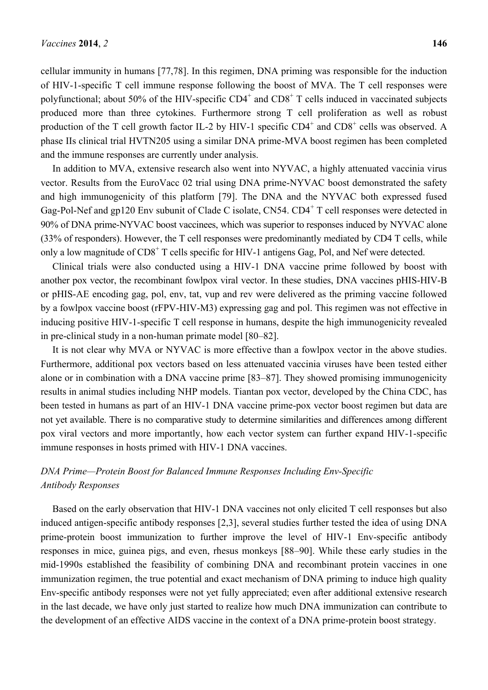cellular immunity in humans [77,78]. In this regimen, DNA priming was responsible for the induction of HIV-1-specific T cell immune response following the boost of MVA. The T cell responses were polyfunctional; about 50% of the HIV-specific  $CD4^+$  and  $CD8^+$  T cells induced in vaccinated subjects produced more than three cytokines. Furthermore strong T cell proliferation as well as robust production of the T cell growth factor IL-2 by HIV-1 specific  $CD4^+$  and  $CD8^+$  cells was observed. A phase IIs clinical trial HVTN205 using a similar DNA prime-MVA boost regimen has been completed and the immune responses are currently under analysis.

In addition to MVA, extensive research also went into NYVAC, a highly attenuated vaccinia virus vector. Results from the EuroVacc 02 trial using DNA prime-NYVAC boost demonstrated the safety and high immunogenicity of this platform [79]. The DNA and the NYVAC both expressed fused Gag-Pol-Nef and gp120 Env subunit of Clade C isolate, CN54. CD4<sup>+</sup> T cell responses were detected in 90% of DNA prime-NYVAC boost vaccinees, which was superior to responses induced by NYVAC alone (33% of responders). However, the T cell responses were predominantly mediated by CD4 T cells, while only a low magnitude of  $CD8<sup>+</sup>$  T cells specific for HIV-1 antigens Gag, Pol, and Nef were detected.

Clinical trials were also conducted using a HIV-1 DNA vaccine prime followed by boost with another pox vector, the recombinant fowlpox viral vector. In these studies, DNA vaccines pHIS-HIV-B or pHIS-AE encoding gag, pol, env, tat, vup and rev were delivered as the priming vaccine followed by a fowlpox vaccine boost (rFPV-HIV-M3) expressing gag and pol. This regimen was not effective in inducing positive HIV-1-specific T cell response in humans, despite the high immunogenicity revealed in pre-clinical study in a non-human primate model [80–82].

It is not clear why MVA or NYVAC is more effective than a fowlpox vector in the above studies. Furthermore, additional pox vectors based on less attenuated vaccinia viruses have been tested either alone or in combination with a DNA vaccine prime [83–87]. They showed promising immunogenicity results in animal studies including NHP models. Tiantan pox vector, developed by the China CDC, has been tested in humans as part of an HIV-1 DNA vaccine prime-pox vector boost regimen but data are not yet available. There is no comparative study to determine similarities and differences among different pox viral vectors and more importantly, how each vector system can further expand HIV-1-specific immune responses in hosts primed with HIV-1 DNA vaccines.

# *DNA Prime—Protein Boost for Balanced Immune Responses Including Env-Specific Antibody Responses*

Based on the early observation that HIV-1 DNA vaccines not only elicited T cell responses but also induced antigen-specific antibody responses [2,3], several studies further tested the idea of using DNA prime-protein boost immunization to further improve the level of HIV-1 Env-specific antibody responses in mice, guinea pigs, and even, rhesus monkeys [88–90]. While these early studies in the mid-1990s established the feasibility of combining DNA and recombinant protein vaccines in one immunization regimen, the true potential and exact mechanism of DNA priming to induce high quality Env-specific antibody responses were not yet fully appreciated; even after additional extensive research in the last decade, we have only just started to realize how much DNA immunization can contribute to the development of an effective AIDS vaccine in the context of a DNA prime-protein boost strategy.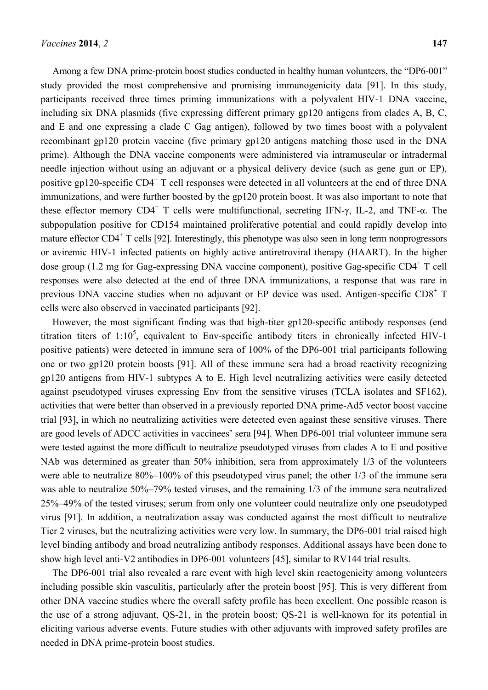Among a few DNA prime-protein boost studies conducted in healthy human volunteers, the "DP6-001" study provided the most comprehensive and promising immunogenicity data [91]. In this study, participants received three times priming immunizations with a polyvalent HIV-1 DNA vaccine, including six DNA plasmids (five expressing different primary gp120 antigens from clades A, B, C, and E and one expressing a clade C Gag antigen), followed by two times boost with a polyvalent recombinant gp120 protein vaccine (five primary gp120 antigens matching those used in the DNA prime). Although the DNA vaccine components were administered via intramuscular or intradermal needle injection without using an adjuvant or a physical delivery device (such as gene gun or EP), positive gp120-specific CD4<sup>+</sup> T cell responses were detected in all volunteers at the end of three DNA immunizations, and were further boosted by the gp120 protein boost. It was also important to note that these effector memory  $CD4^+$  T cells were multifunctional, secreting IFN- $\gamma$ , IL-2, and TNF- $\alpha$ . The subpopulation positive for CD154 maintained proliferative potential and could rapidly develop into mature effector CD4<sup>+</sup> T cells [92]. Interestingly, this phenotype was also seen in long term nonprogressors or aviremic HIV-1 infected patients on highly active antiretroviral therapy (HAART). In the higher dose group (1.2 mg for Gag-expressing DNA vaccine component), positive Gag-specific CD4<sup>+</sup> T cell responses were also detected at the end of three DNA immunizations, a response that was rare in previous DNA vaccine studies when no adjuvant or EP device was used. Antigen-specific CD8<sup>+</sup> T cells were also observed in vaccinated participants [92].

However, the most significant finding was that high-titer gp120-specific antibody responses (end titration titers of  $1:10^5$ , equivalent to Env-specific antibody titers in chronically infected HIV-1 positive patients) were detected in immune sera of 100% of the DP6-001 trial participants following one or two gp120 protein boosts [91]. All of these immune sera had a broad reactivity recognizing gp120 antigens from HIV-1 subtypes A to E. High level neutralizing activities were easily detected against pseudotyped viruses expressing Env from the sensitive viruses (TCLA isolates and SF162), activities that were better than observed in a previously reported DNA prime-Ad5 vector boost vaccine trial [93], in which no neutralizing activities were detected even against these sensitive viruses. There are good levels of ADCC activities in vaccinees' sera [94]. When DP6-001 trial volunteer immune sera were tested against the more difficult to neutralize pseudotyped viruses from clades A to E and positive NAb was determined as greater than 50% inhibition, sera from approximately 1/3 of the volunteers were able to neutralize 80%–100% of this pseudotyped virus panel; the other 1/3 of the immune sera was able to neutralize 50%–79% tested viruses, and the remaining 1/3 of the immune sera neutralized 25%–49% of the tested viruses; serum from only one volunteer could neutralize only one pseudotyped virus [91]. In addition, a neutralization assay was conducted against the most difficult to neutralize Tier 2 viruses, but the neutralizing activities were very low. In summary, the DP6-001 trial raised high level binding antibody and broad neutralizing antibody responses. Additional assays have been done to show high level anti-V2 antibodies in DP6-001 volunteers [45], similar to RV144 trial results.

The DP6-001 trial also revealed a rare event with high level skin reactogenicity among volunteers including possible skin vasculitis, particularly after the protein boost [95]. This is very different from other DNA vaccine studies where the overall safety profile has been excellent. One possible reason is the use of a strong adjuvant, QS-21, in the protein boost; QS-21 is well-known for its potential in eliciting various adverse events. Future studies with other adjuvants with improved safety profiles are needed in DNA prime-protein boost studies.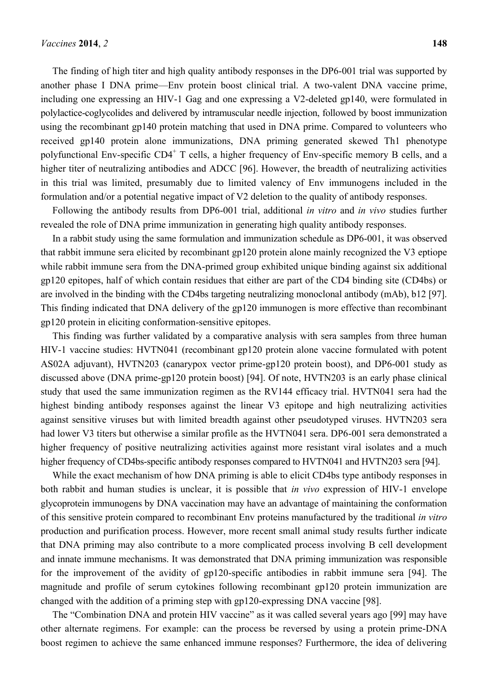The finding of high titer and high quality antibody responses in the DP6-001 trial was supported by another phase I DNA prime—Env protein boost clinical trial. A two-valent DNA vaccine prime, including one expressing an HIV-1 Gag and one expressing a V2-deleted gp140, were formulated in polylactice-coglycolides and delivered by intramuscular needle injection, followed by boost immunization using the recombinant gp140 protein matching that used in DNA prime. Compared to volunteers who received gp140 protein alone immunizations, DNA priming generated skewed Th1 phenotype polyfunctional Env-specific CD4<sup>+</sup> T cells, a higher frequency of Env-specific memory B cells, and a higher titer of neutralizing antibodies and ADCC [96]. However, the breadth of neutralizing activities in this trial was limited, presumably due to limited valency of Env immunogens included in the formulation and/or a potential negative impact of V2 deletion to the quality of antibody responses.

Following the antibody results from DP6-001 trial, additional *in vitro* and *in vivo* studies further revealed the role of DNA prime immunization in generating high quality antibody responses.

In a rabbit study using the same formulation and immunization schedule as DP6-001, it was observed that rabbit immune sera elicited by recombinant gp120 protein alone mainly recognized the V3 eptiope while rabbit immune sera from the DNA-primed group exhibited unique binding against six additional gp120 epitopes, half of which contain residues that either are part of the CD4 binding site (CD4bs) or are involved in the binding with the CD4bs targeting neutralizing monoclonal antibody (mAb), b12 [97]. This finding indicated that DNA delivery of the gp120 immunogen is more effective than recombinant gp120 protein in eliciting conformation-sensitive epitopes.

This finding was further validated by a comparative analysis with sera samples from three human HIV-1 vaccine studies: HVTN041 (recombinant gp120 protein alone vaccine formulated with potent AS02A adjuvant), HVTN203 (canarypox vector prime-gp120 protein boost), and DP6-001 study as discussed above (DNA prime-gp120 protein boost) [94]. Of note, HVTN203 is an early phase clinical study that used the same immunization regimen as the RV144 efficacy trial. HVTN041 sera had the highest binding antibody responses against the linear V3 epitope and high neutralizing activities against sensitive viruses but with limited breadth against other pseudotyped viruses. HVTN203 sera had lower V3 titers but otherwise a similar profile as the HVTN041 sera. DP6-001 sera demonstrated a higher frequency of positive neutralizing activities against more resistant viral isolates and a much higher frequency of CD4bs-specific antibody responses compared to HVTN041 and HVTN203 sera [94].

While the exact mechanism of how DNA priming is able to elicit CD4bs type antibody responses in both rabbit and human studies is unclear, it is possible that *in vivo* expression of HIV-1 envelope glycoprotein immunogens by DNA vaccination may have an advantage of maintaining the conformation of this sensitive protein compared to recombinant Env proteins manufactured by the traditional *in vitro* production and purification process. However, more recent small animal study results further indicate that DNA priming may also contribute to a more complicated process involving B cell development and innate immune mechanisms. It was demonstrated that DNA priming immunization was responsible for the improvement of the avidity of gp120-specific antibodies in rabbit immune sera [94]. The magnitude and profile of serum cytokines following recombinant gp120 protein immunization are changed with the addition of a priming step with gp120-expressing DNA vaccine [98].

The "Combination DNA and protein HIV vaccine" as it was called several years ago [99] may have other alternate regimens. For example: can the process be reversed by using a protein prime-DNA boost regimen to achieve the same enhanced immune responses? Furthermore, the idea of delivering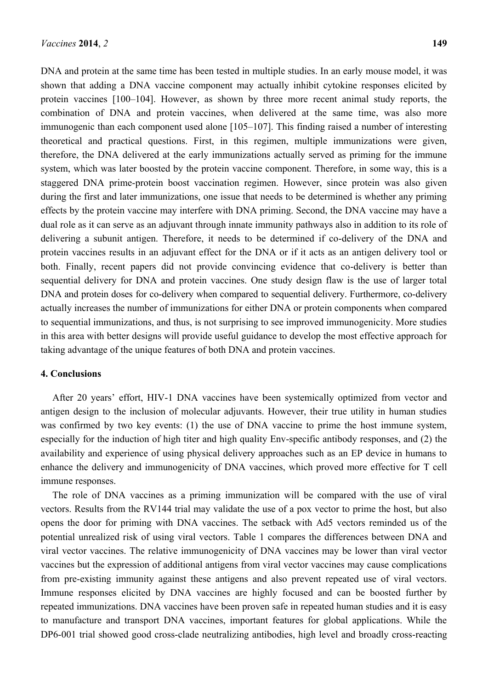DNA and protein at the same time has been tested in multiple studies. In an early mouse model, it was shown that adding a DNA vaccine component may actually inhibit cytokine responses elicited by protein vaccines [100–104]. However, as shown by three more recent animal study reports, the combination of DNA and protein vaccines, when delivered at the same time, was also more immunogenic than each component used alone [105–107]. This finding raised a number of interesting theoretical and practical questions. First, in this regimen, multiple immunizations were given, therefore, the DNA delivered at the early immunizations actually served as priming for the immune system, which was later boosted by the protein vaccine component. Therefore, in some way, this is a staggered DNA prime-protein boost vaccination regimen. However, since protein was also given during the first and later immunizations, one issue that needs to be determined is whether any priming effects by the protein vaccine may interfere with DNA priming. Second, the DNA vaccine may have a dual role as it can serve as an adjuvant through innate immunity pathways also in addition to its role of delivering a subunit antigen. Therefore, it needs to be determined if co-delivery of the DNA and protein vaccines results in an adjuvant effect for the DNA or if it acts as an antigen delivery tool or both. Finally, recent papers did not provide convincing evidence that co-delivery is better than sequential delivery for DNA and protein vaccines. One study design flaw is the use of larger total DNA and protein doses for co-delivery when compared to sequential delivery. Furthermore, co-delivery actually increases the number of immunizations for either DNA or protein components when compared to sequential immunizations, and thus, is not surprising to see improved immunogenicity. More studies in this area with better designs will provide useful guidance to develop the most effective approach for taking advantage of the unique features of both DNA and protein vaccines.

## **4. Conclusions**

After 20 years' effort, HIV-1 DNA vaccines have been systemically optimized from vector and antigen design to the inclusion of molecular adjuvants. However, their true utility in human studies was confirmed by two key events: (1) the use of DNA vaccine to prime the host immune system, especially for the induction of high titer and high quality Env-specific antibody responses, and (2) the availability and experience of using physical delivery approaches such as an EP device in humans to enhance the delivery and immunogenicity of DNA vaccines, which proved more effective for T cell immune responses.

The role of DNA vaccines as a priming immunization will be compared with the use of viral vectors. Results from the RV144 trial may validate the use of a pox vector to prime the host, but also opens the door for priming with DNA vaccines. The setback with Ad5 vectors reminded us of the potential unrealized risk of using viral vectors. Table 1 compares the differences between DNA and viral vector vaccines. The relative immunogenicity of DNA vaccines may be lower than viral vector vaccines but the expression of additional antigens from viral vector vaccines may cause complications from pre-existing immunity against these antigens and also prevent repeated use of viral vectors. Immune responses elicited by DNA vaccines are highly focused and can be boosted further by repeated immunizations. DNA vaccines have been proven safe in repeated human studies and it is easy to manufacture and transport DNA vaccines, important features for global applications. While the DP6-001 trial showed good cross-clade neutralizing antibodies, high level and broadly cross-reacting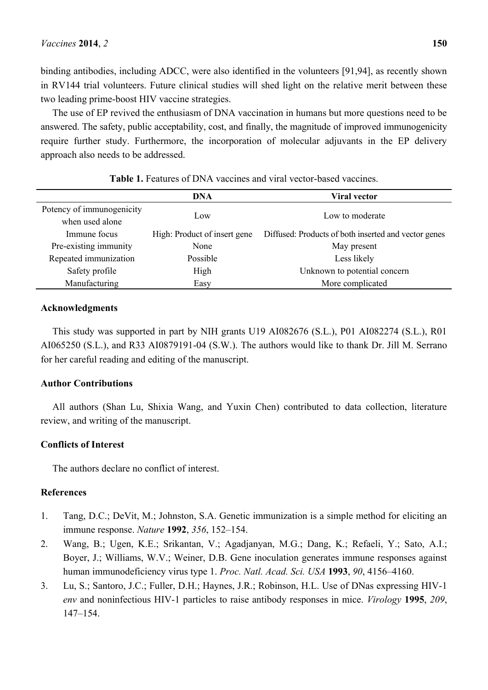binding antibodies, including ADCC, were also identified in the volunteers [91,94], as recently shown in RV144 trial volunteers. Future clinical studies will shed light on the relative merit between these two leading prime-boost HIV vaccine strategies.

The use of EP revived the enthusiasm of DNA vaccination in humans but more questions need to be answered. The safety, public acceptability, cost, and finally, the magnitude of improved immunogenicity require further study. Furthermore, the incorporation of molecular adjuvants in the EP delivery approach also needs to be addressed.

|                           | DNA                          | <b>Viral vector</b>                                  |
|---------------------------|------------------------------|------------------------------------------------------|
| Potency of immunogenicity |                              |                                                      |
| when used alone           | Low                          | Low to moderate                                      |
| Immune focus              | High: Product of insert gene | Diffused: Products of both inserted and vector genes |
| Pre-existing immunity     | None                         | May present                                          |
| Repeated immunization     | Possible                     | Less likely                                          |
| Safety profile            | High                         | Unknown to potential concern                         |
| Manufacturing             | Easy                         | More complicated                                     |

**Table 1.** Features of DNA vaccines and viral vector-based vaccines.

## **Acknowledgments**

This study was supported in part by NIH grants U19 AI082676 (S.L.), P01 AI082274 (S.L.), R01 AI065250 (S.L.), and R33 AI0879191-04 (S.W.). The authors would like to thank Dr. Jill M. Serrano for her careful reading and editing of the manuscript.

## **Author Contributions**

All authors (Shan Lu, Shixia Wang, and Yuxin Chen) contributed to data collection, literature review, and writing of the manuscript.

# **Conflicts of Interest**

The authors declare no conflict of interest.

## **References**

- 1. Tang, D.C.; DeVit, M.; Johnston, S.A. Genetic immunization is a simple method for eliciting an immune response. *Nature* **1992**, *356*, 152–154.
- 2. Wang, B.; Ugen, K.E.; Srikantan, V.; Agadjanyan, M.G.; Dang, K.; Refaeli, Y.; Sato, A.I.; Boyer, J.; Williams, W.V.; Weiner, D.B. Gene inoculation generates immune responses against human immunodeficiency virus type 1. *Proc. Natl. Acad. Sci. USA* **1993**, *90*, 4156–4160.
- 3. Lu, S.; Santoro, J.C.; Fuller, D.H.; Haynes, J.R.; Robinson, H.L. Use of DNas expressing HIV-1 *env* and noninfectious HIV-1 particles to raise antibody responses in mice. *Virology* **1995**, *209*, 147–154.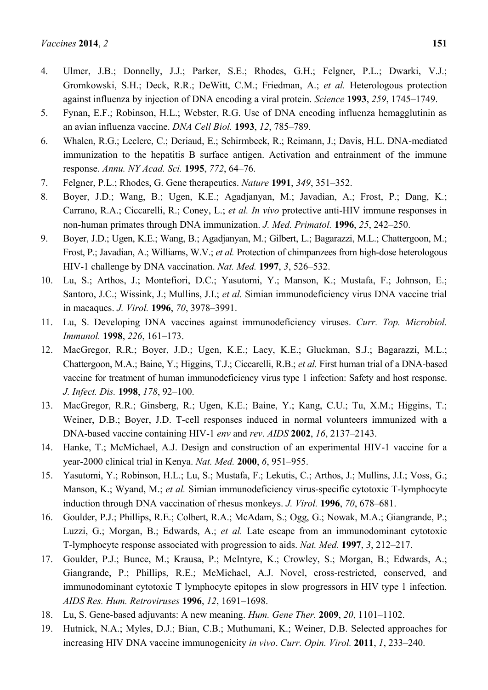- 5. Fynan, E.F.; Robinson, H.L.; Webster, R.G. Use of DNA encoding influenza hemagglutinin as an avian influenza vaccine. *DNA Cell Biol.* **1993**, *12*, 785–789.
- 6. Whalen, R.G.; Leclerc, C.; Deriaud, E.; Schirmbeck, R.; Reimann, J.; Davis, H.L. DNA-mediated immunization to the hepatitis B surface antigen. Activation and entrainment of the immune response. *Annu. NY Acad. Sci.* **1995**, *772*, 64–76.
- 7. Felgner, P.L.; Rhodes, G. Gene therapeutics. *Nature* **1991**, *349*, 351–352.
- 8. Boyer, J.D.; Wang, B.; Ugen, K.E.; Agadjanyan, M.; Javadian, A.; Frost, P.; Dang, K.; Carrano, R.A.; Ciccarelli, R.; Coney, L.; *et al. In vivo* protective anti-HIV immune responses in non-human primates through DNA immunization. *J. Med. Primatol.* **1996**, *25*, 242–250.
- 9. Boyer, J.D.; Ugen, K.E.; Wang, B.; Agadjanyan, M.; Gilbert, L.; Bagarazzi, M.L.; Chattergoon, M.; Frost, P.; Javadian, A.; Williams, W.V.; *et al.* Protection of chimpanzees from high-dose heterologous HIV-1 challenge by DNA vaccination. *Nat. Med.* **1997**, *3*, 526–532.
- 10. Lu, S.; Arthos, J.; Montefiori, D.C.; Yasutomi, Y.; Manson, K.; Mustafa, F.; Johnson, E.; Santoro, J.C.; Wissink, J.; Mullins, J.I.; *et al.* Simian immunodeficiency virus DNA vaccine trial in macaques. *J. Virol.* **1996**, *70*, 3978–3991.
- 11. Lu, S. Developing DNA vaccines against immunodeficiency viruses. *Curr. Top. Microbiol. Immunol.* **1998**, *226*, 161–173.
- 12. MacGregor, R.R.; Boyer, J.D.; Ugen, K.E.; Lacy, K.E.; Gluckman, S.J.; Bagarazzi, M.L.; Chattergoon, M.A.; Baine, Y.; Higgins, T.J.; Ciccarelli, R.B.; *et al.* First human trial of a DNA-based vaccine for treatment of human immunodeficiency virus type 1 infection: Safety and host response. *J. Infect. Dis.* **1998**, *178*, 92–100.
- 13. MacGregor, R.R.; Ginsberg, R.; Ugen, K.E.; Baine, Y.; Kang, C.U.; Tu, X.M.; Higgins, T.; Weiner, D.B.; Boyer, J.D. T-cell responses induced in normal volunteers immunized with a DNA-based vaccine containing HIV-1 *env* and *rev*. *AIDS* **2002**, *16*, 2137–2143.
- 14. Hanke, T.; McMichael, A.J. Design and construction of an experimental HIV-1 vaccine for a year-2000 clinical trial in Kenya. *Nat. Med.* **2000**, *6*, 951–955.
- 15. Yasutomi, Y.; Robinson, H.L.; Lu, S.; Mustafa, F.; Lekutis, C.; Arthos, J.; Mullins, J.I.; Voss, G.; Manson, K.; Wyand, M.; *et al.* Simian immunodeficiency virus-specific cytotoxic T-lymphocyte induction through DNA vaccination of rhesus monkeys. *J. Virol.* **1996**, *70*, 678–681.
- 16. Goulder, P.J.; Phillips, R.E.; Colbert, R.A.; McAdam, S.; Ogg, G.; Nowak, M.A.; Giangrande, P.; Luzzi, G.; Morgan, B.; Edwards, A.; *et al.* Late escape from an immunodominant cytotoxic T-lymphocyte response associated with progression to aids. *Nat. Med.* **1997**, *3*, 212–217.
- 17. Goulder, P.J.; Bunce, M.; Krausa, P.; McIntyre, K.; Crowley, S.; Morgan, B.; Edwards, A.; Giangrande, P.; Phillips, R.E.; McMichael, A.J. Novel, cross-restricted, conserved, and immunodominant cytotoxic T lymphocyte epitopes in slow progressors in HIV type 1 infection. *AIDS Res. Hum. Retroviruses* **1996**, *12*, 1691–1698.
- 18. Lu, S. Gene-based adjuvants: A new meaning. *Hum. Gene Ther.* **2009**, *20*, 1101–1102.
- 19. Hutnick, N.A.; Myles, D.J.; Bian, C.B.; Muthumani, K.; Weiner, D.B. Selected approaches for increasing HIV DNA vaccine immunogenicity *in vivo*. *Curr. Opin. Virol.* **2011**, *1*, 233–240.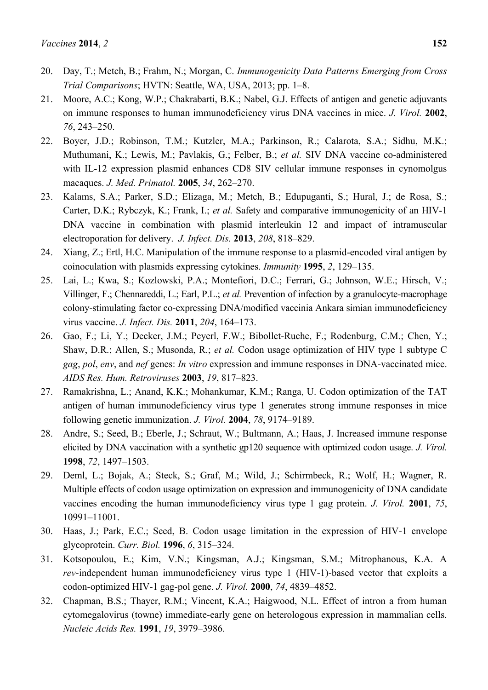- 20. Day, T.; Metch, B.; Frahm, N.; Morgan, C. *Immunogenicity Data Patterns Emerging from Cross Trial Comparisons*; HVTN: Seattle, WA, USA, 2013; pp. 1–8.
- 21. Moore, A.C.; Kong, W.P.; Chakrabarti, B.K.; Nabel, G.J. Effects of antigen and genetic adjuvants on immune responses to human immunodeficiency virus DNA vaccines in mice. *J. Virol.* **2002**, *76*, 243–250.
- 22. Boyer, J.D.; Robinson, T.M.; Kutzler, M.A.; Parkinson, R.; Calarota, S.A.; Sidhu, M.K.; Muthumani, K.; Lewis, M.; Pavlakis, G.; Felber, B.; *et al.* SIV DNA vaccine co-administered with IL-12 expression plasmid enhances CD8 SIV cellular immune responses in cynomolgus macaques. *J. Med. Primatol.* **2005**, *34*, 262–270.
- 23. Kalams, S.A.; Parker, S.D.; Elizaga, M.; Metch, B.; Edupuganti, S.; Hural, J.; de Rosa, S.; Carter, D.K.; Rybczyk, K.; Frank, I.; *et al.* Safety and comparative immunogenicity of an HIV-1 DNA vaccine in combination with plasmid interleukin 12 and impact of intramuscular electroporation for delivery. *J. Infect. Dis.* **2013**, *208*, 818–829.
- 24. Xiang, Z.; Ertl, H.C. Manipulation of the immune response to a plasmid-encoded viral antigen by coinoculation with plasmids expressing cytokines. *Immunity* **1995**, *2*, 129–135.
- 25. Lai, L.; Kwa, S.; Kozlowski, P.A.; Montefiori, D.C.; Ferrari, G.; Johnson, W.E.; Hirsch, V.; Villinger, F.; Chennareddi, L.; Earl, P.L.; *et al.* Prevention of infection by a granulocyte-macrophage colony-stimulating factor co-expressing DNA/modified vaccinia Ankara simian immunodeficiency virus vaccine. *J. Infect. Dis.* **2011**, *204*, 164–173.
- 26. Gao, F.; Li, Y.; Decker, J.M.; Peyerl, F.W.; Bibollet-Ruche, F.; Rodenburg, C.M.; Chen, Y.; Shaw, D.R.; Allen, S.; Musonda, R.; *et al.* Codon usage optimization of HIV type 1 subtype C *gag*, *pol*, *env*, and *nef* genes: *In vitro* expression and immune responses in DNA-vaccinated mice. *AIDS Res. Hum. Retroviruses* **2003**, *19*, 817–823.
- 27. Ramakrishna, L.; Anand, K.K.; Mohankumar, K.M.; Ranga, U. Codon optimization of the TAT antigen of human immunodeficiency virus type 1 generates strong immune responses in mice following genetic immunization. *J. Virol.* **2004**, *78*, 9174–9189.
- 28. Andre, S.; Seed, B.; Eberle, J.; Schraut, W.; Bultmann, A.; Haas, J. Increased immune response elicited by DNA vaccination with a synthetic gp120 sequence with optimized codon usage. *J. Virol.* **1998**, *72*, 1497–1503.
- 29. Deml, L.; Bojak, A.; Steck, S.; Graf, M.; Wild, J.; Schirmbeck, R.; Wolf, H.; Wagner, R. Multiple effects of codon usage optimization on expression and immunogenicity of DNA candidate vaccines encoding the human immunodeficiency virus type 1 gag protein. *J. Virol.* **2001**, *75*, 10991–11001.
- 30. Haas, J.; Park, E.C.; Seed, B. Codon usage limitation in the expression of HIV-1 envelope glycoprotein. *Curr. Biol.* **1996**, *6*, 315–324.
- 31. Kotsopoulou, E.; Kim, V.N.; Kingsman, A.J.; Kingsman, S.M.; Mitrophanous, K.A. A *rev*-independent human immunodeficiency virus type 1 (HIV-1)-based vector that exploits a codon-optimized HIV-1 gag-pol gene. *J. Virol.* **2000**, *74*, 4839–4852.
- 32. Chapman, B.S.; Thayer, R.M.; Vincent, K.A.; Haigwood, N.L. Effect of intron a from human cytomegalovirus (towne) immediate-early gene on heterologous expression in mammalian cells. *Nucleic Acids Res.* **1991**, *19*, 3979–3986.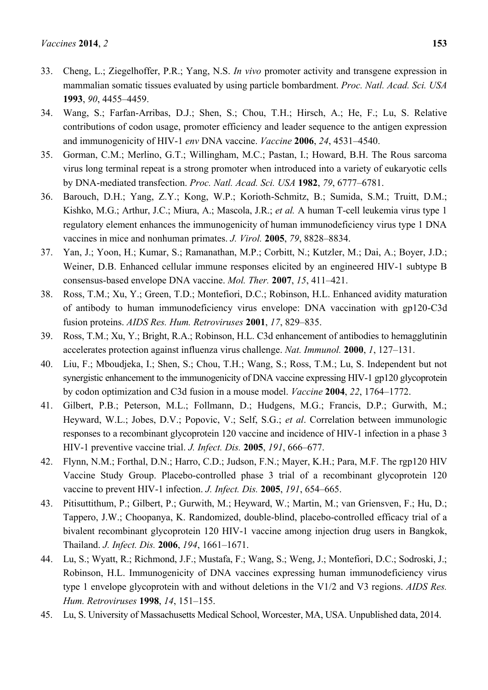- 33. Cheng, L.; Ziegelhoffer, P.R.; Yang, N.S. *In vivo* promoter activity and transgene expression in mammalian somatic tissues evaluated by using particle bombardment. *Proc. Natl. Acad. Sci. USA*  **1993**, *90*, 4455–4459.
- 34. Wang, S.; Farfan-Arribas, D.J.; Shen, S.; Chou, T.H.; Hirsch, A.; He, F.; Lu, S. Relative contributions of codon usage, promoter efficiency and leader sequence to the antigen expression and immunogenicity of HIV-1 *env* DNA vaccine. *Vaccine* **2006**, *24*, 4531–4540.
- 35. Gorman, C.M.; Merlino, G.T.; Willingham, M.C.; Pastan, I.; Howard, B.H. The Rous sarcoma virus long terminal repeat is a strong promoter when introduced into a variety of eukaryotic cells by DNA-mediated transfection. *Proc. Natl. Acad. Sci. USA* **1982**, *79*, 6777–6781.
- 36. Barouch, D.H.; Yang, Z.Y.; Kong, W.P.; Korioth-Schmitz, B.; Sumida, S.M.; Truitt, D.M.; Kishko, M.G.; Arthur, J.C.; Miura, A.; Mascola, J.R.; *et al.* A human T-cell leukemia virus type 1 regulatory element enhances the immunogenicity of human immunodeficiency virus type 1 DNA vaccines in mice and nonhuman primates. *J. Virol.* **2005**, *79*, 8828–8834.
- 37. Yan, J.; Yoon, H.; Kumar, S.; Ramanathan, M.P.; Corbitt, N.; Kutzler, M.; Dai, A.; Boyer, J.D.; Weiner, D.B. Enhanced cellular immune responses elicited by an engineered HIV-1 subtype B consensus-based envelope DNA vaccine. *Mol. Ther.* **2007**, *15*, 411–421.
- 38. Ross, T.M.; Xu, Y.; Green, T.D.; Montefiori, D.C.; Robinson, H.L. Enhanced avidity maturation of antibody to human immunodeficiency virus envelope: DNA vaccination with gp120-C3d fusion proteins. *AIDS Res. Hum. Retroviruses* **2001**, *17*, 829–835.
- 39. Ross, T.M.; Xu, Y.; Bright, R.A.; Robinson, H.L. C3d enhancement of antibodies to hemagglutinin accelerates protection against influenza virus challenge. *Nat. Immunol.* **2000**, *1*, 127–131.
- 40. Liu, F.; Mboudjeka, I.; Shen, S.; Chou, T.H.; Wang, S.; Ross, T.M.; Lu, S. Independent but not synergistic enhancement to the immunogenicity of DNA vaccine expressing HIV-1 gp120 glycoprotein by codon optimization and C3d fusion in a mouse model. *Vaccine* **2004**, *22*, 1764–1772.
- 41. Gilbert, P.B.; Peterson, M.L.; Follmann, D.; Hudgens, M.G.; Francis, D.P.; Gurwith, M.; Heyward, W.L.; Jobes, D.V.; Popovic, V.; Self, S.G.; *et al*. Correlation between immunologic responses to a recombinant glycoprotein 120 vaccine and incidence of HIV-1 infection in a phase 3 HIV-1 preventive vaccine trial. *J. Infect. Dis.* **2005**, *191*, 666–677.
- 42. Flynn, N.M.; Forthal, D.N.; Harro, C.D.; Judson, F.N.; Mayer, K.H.; Para, M.F. The rgp120 HIV Vaccine Study Group. Placebo-controlled phase 3 trial of a recombinant glycoprotein 120 vaccine to prevent HIV-1 infection. *J. Infect. Dis.* **2005**, *191*, 654–665.
- 43. Pitisuttithum, P.; Gilbert, P.; Gurwith, M.; Heyward, W.; Martin, M.; van Griensven, F.; Hu, D.; Tappero, J.W.; Choopanya, K. Randomized, double-blind, placebo-controlled efficacy trial of a bivalent recombinant glycoprotein 120 HIV-1 vaccine among injection drug users in Bangkok, Thailand. *J. Infect. Dis.* **2006**, *194*, 1661–1671.
- 44. Lu, S.; Wyatt, R.; Richmond, J.F.; Mustafa, F.; Wang, S.; Weng, J.; Montefiori, D.C.; Sodroski, J.; Robinson, H.L. Immunogenicity of DNA vaccines expressing human immunodeficiency virus type 1 envelope glycoprotein with and without deletions in the V1/2 and V3 regions. *AIDS Res. Hum. Retroviruses* **1998**, *14*, 151–155.
- 45. Lu, S. University of Massachusetts Medical School, Worcester, MA, USA. Unpublished data, 2014.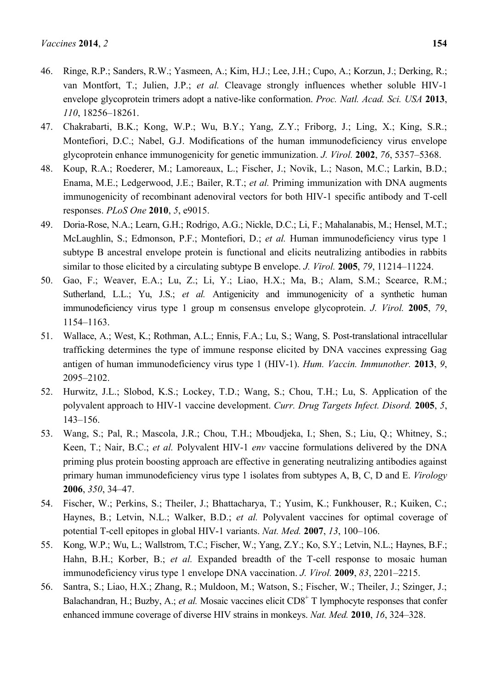- 46. Ringe, R.P.; Sanders, R.W.; Yasmeen, A.; Kim, H.J.; Lee, J.H.; Cupo, A.; Korzun, J.; Derking, R.; van Montfort, T.; Julien, J.P.; *et al.* Cleavage strongly influences whether soluble HIV-1 envelope glycoprotein trimers adopt a native-like conformation. *Proc. Natl. Acad. Sci. USA* **2013**, *110*, 18256–18261.
- 47. Chakrabarti, B.K.; Kong, W.P.; Wu, B.Y.; Yang, Z.Y.; Friborg, J.; Ling, X.; King, S.R.; Montefiori, D.C.; Nabel, G.J. Modifications of the human immunodeficiency virus envelope glycoprotein enhance immunogenicity for genetic immunization. *J. Virol.* **2002**, *76*, 5357–5368.
- 48. Koup, R.A.; Roederer, M.; Lamoreaux, L.; Fischer, J.; Novik, L.; Nason, M.C.; Larkin, B.D.; Enama, M.E.; Ledgerwood, J.E.; Bailer, R.T.; *et al.* Priming immunization with DNA augments immunogenicity of recombinant adenoviral vectors for both HIV-1 specific antibody and T-cell responses. *PLoS One* **2010**, *5*, e9015.
- 49. Doria-Rose, N.A.; Learn, G.H.; Rodrigo, A.G.; Nickle, D.C.; Li, F.; Mahalanabis, M.; Hensel, M.T.; McLaughlin, S.; Edmonson, P.F.; Montefiori, D.; *et al.* Human immunodeficiency virus type 1 subtype B ancestral envelope protein is functional and elicits neutralizing antibodies in rabbits similar to those elicited by a circulating subtype B envelope. *J. Virol.* **2005**, *79*, 11214–11224.
- 50. Gao, F.; Weaver, E.A.; Lu, Z.; Li, Y.; Liao, H.X.; Ma, B.; Alam, S.M.; Scearce, R.M.; Sutherland, L.L.; Yu, J.S.; *et al.* Antigenicity and immunogenicity of a synthetic human immunodeficiency virus type 1 group m consensus envelope glycoprotein. *J. Virol.* **2005**, *79*, 1154–1163.
- 51. Wallace, A.; West, K.; Rothman, A.L.; Ennis, F.A.; Lu, S.; Wang, S. Post-translational intracellular trafficking determines the type of immune response elicited by DNA vaccines expressing Gag antigen of human immunodeficiency virus type 1 (HIV-1). *Hum. Vaccin. Immunother.* **2013**, *9*, 2095–2102.
- 52. Hurwitz, J.L.; Slobod, K.S.; Lockey, T.D.; Wang, S.; Chou, T.H.; Lu, S. Application of the polyvalent approach to HIV-1 vaccine development. *Curr. Drug Targets Infect. Disord.* **2005**, *5*, 143–156.
- 53. Wang, S.; Pal, R.; Mascola, J.R.; Chou, T.H.; Mboudjeka, I.; Shen, S.; Liu, Q.; Whitney, S.; Keen, T.; Nair, B.C.; *et al.* Polyvalent HIV-1 *env* vaccine formulations delivered by the DNA priming plus protein boosting approach are effective in generating neutralizing antibodies against primary human immunodeficiency virus type 1 isolates from subtypes A, B, C, D and E. *Virology* **2006**, *350*, 34–47.
- 54. Fischer, W.; Perkins, S.; Theiler, J.; Bhattacharya, T.; Yusim, K.; Funkhouser, R.; Kuiken, C.; Haynes, B.; Letvin, N.L.; Walker, B.D.; *et al.* Polyvalent vaccines for optimal coverage of potential T-cell epitopes in global HIV-1 variants. *Nat. Med.* **2007**, *13*, 100–106.
- 55. Kong, W.P.; Wu, L.; Wallstrom, T.C.; Fischer, W.; Yang, Z.Y.; Ko, S.Y.; Letvin, N.L.; Haynes, B.F.; Hahn, B.H.; Korber, B.; *et al.* Expanded breadth of the T-cell response to mosaic human immunodeficiency virus type 1 envelope DNA vaccination. *J. Virol.* **2009**, *83*, 2201–2215.
- 56. Santra, S.; Liao, H.X.; Zhang, R.; Muldoon, M.; Watson, S.; Fischer, W.; Theiler, J.; Szinger, J.; Balachandran, H.; Buzby, A.; *et al.* Mosaic vaccines elicit CD8<sup>+</sup> T lymphocyte responses that confer enhanced immune coverage of diverse HIV strains in monkeys. *Nat. Med.* **2010**, *16*, 324–328.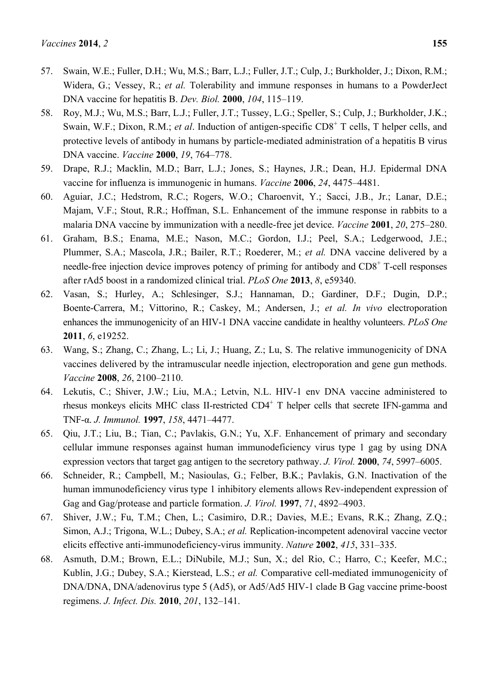- 57. Swain, W.E.; Fuller, D.H.; Wu, M.S.; Barr, L.J.; Fuller, J.T.; Culp, J.; Burkholder, J.; Dixon, R.M.; Widera, G.; Vessey, R.; *et al.* Tolerability and immune responses in humans to a PowderJect DNA vaccine for hepatitis B. *Dev. Biol.* **2000**, *104*, 115–119.
- 58. Roy, M.J.; Wu, M.S.; Barr, L.J.; Fuller, J.T.; Tussey, L.G.; Speller, S.; Culp, J.; Burkholder, J.K.; Swain, W.F.; Dixon, R.M.; *et al.* Induction of antigen-specific CD8<sup>+</sup> T cells, T helper cells, and protective levels of antibody in humans by particle-mediated administration of a hepatitis B virus DNA vaccine. *Vaccine* **2000**, *19*, 764–778.
- 59. Drape, R.J.; Macklin, M.D.; Barr, L.J.; Jones, S.; Haynes, J.R.; Dean, H.J. Epidermal DNA vaccine for influenza is immunogenic in humans. *Vaccine* **2006**, *24*, 4475–4481.
- 60. Aguiar, J.C.; Hedstrom, R.C.; Rogers, W.O.; Charoenvit, Y.; Sacci, J.B., Jr.; Lanar, D.E.; Majam, V.F.; Stout, R.R.; Hoffman, S.L. Enhancement of the immune response in rabbits to a malaria DNA vaccine by immunization with a needle-free jet device. *Vaccine* **2001**, *20*, 275–280.
- 61. Graham, B.S.; Enama, M.E.; Nason, M.C.; Gordon, I.J.; Peel, S.A.; Ledgerwood, J.E.; Plummer, S.A.; Mascola, J.R.; Bailer, R.T.; Roederer, M.; *et al.* DNA vaccine delivered by a needle-free injection device improves potency of priming for antibody and CD8<sup>+</sup> T-cell responses after rAd5 boost in a randomized clinical trial. *PLoS One* **2013**, *8*, e59340.
- 62. Vasan, S.; Hurley, A.; Schlesinger, S.J.; Hannaman, D.; Gardiner, D.F.; Dugin, D.P.; Boente-Carrera, M.; Vittorino, R.; Caskey, M.; Andersen, J.; *et al. In vivo* electroporation enhances the immunogenicity of an HIV-1 DNA vaccine candidate in healthy volunteers. *PLoS One* **2011**, *6*, e19252.
- 63. Wang, S.; Zhang, C.; Zhang, L.; Li, J.; Huang, Z.; Lu, S. The relative immunogenicity of DNA vaccines delivered by the intramuscular needle injection, electroporation and gene gun methods. *Vaccine* **2008**, *26*, 2100–2110.
- 64. Lekutis, C.; Shiver, J.W.; Liu, M.A.; Letvin, N.L. HIV-1 env DNA vaccine administered to rhesus monkeys elicits MHC class II-restricted CD4<sup>+</sup> T helper cells that secrete IFN-gamma and TNF-α. *J. Immunol.* **1997**, *158*, 4471–4477.
- 65. Qiu, J.T.; Liu, B.; Tian, C.; Pavlakis, G.N.; Yu, X.F. Enhancement of primary and secondary cellular immune responses against human immunodeficiency virus type 1 gag by using DNA expression vectors that target gag antigen to the secretory pathway. *J. Virol.* **2000**, *74*, 5997–6005.
- 66. Schneider, R.; Campbell, M.; Nasioulas, G.; Felber, B.K.; Pavlakis, G.N. Inactivation of the human immunodeficiency virus type 1 inhibitory elements allows Rev-independent expression of Gag and Gag/protease and particle formation. *J. Virol.* **1997**, *71*, 4892–4903.
- 67. Shiver, J.W.; Fu, T.M.; Chen, L.; Casimiro, D.R.; Davies, M.E.; Evans, R.K.; Zhang, Z.Q.; Simon, A.J.; Trigona, W.L.; Dubey, S.A.; *et al.* Replication-incompetent adenoviral vaccine vector elicits effective anti-immunodeficiency-virus immunity. *Nature* **2002**, *415*, 331–335.
- 68. Asmuth, D.M.; Brown, E.L.; DiNubile, M.J.; Sun, X.; del Rio, C.; Harro, C.; Keefer, M.C.; Kublin, J.G.; Dubey, S.A.; Kierstead, L.S.; *et al.* Comparative cell-mediated immunogenicity of DNA/DNA, DNA/adenovirus type 5 (Ad5), or Ad5/Ad5 HIV-1 clade B Gag vaccine prime-boost regimens. *J. Infect. Dis.* **2010**, *201*, 132–141.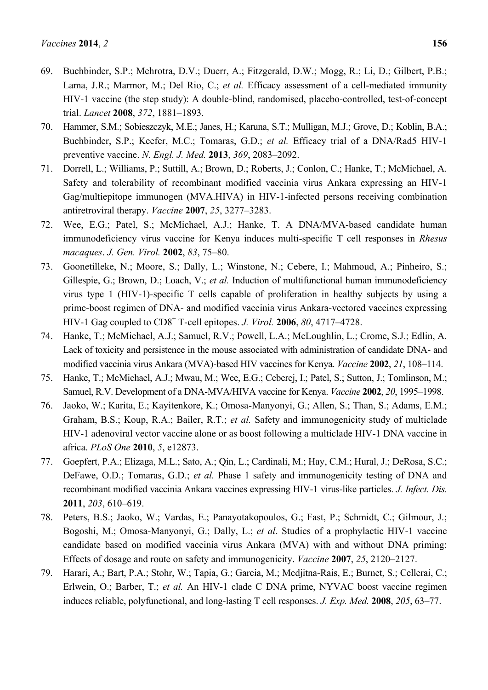- 69. Buchbinder, S.P.; Mehrotra, D.V.; Duerr, A.; Fitzgerald, D.W.; Mogg, R.; Li, D.; Gilbert, P.B.; Lama, J.R.; Marmor, M.; Del Rio, C.; *et al.* Efficacy assessment of a cell-mediated immunity HIV-1 vaccine (the step study): A double-blind, randomised, placebo-controlled, test-of-concept trial. *Lancet* **2008**, *372*, 1881–1893.
- 70. Hammer, S.M.; Sobieszczyk, M.E.; Janes, H.; Karuna, S.T.; Mulligan, M.J.; Grove, D.; Koblin, B.A.; Buchbinder, S.P.; Keefer, M.C.; Tomaras, G.D.; *et al.* Efficacy trial of a DNA/Rad5 HIV-1 preventive vaccine. *N. Engl. J. Med.* **2013**, *369*, 2083–2092.
- 71. Dorrell, L.; Williams, P.; Suttill, A.; Brown, D.; Roberts, J.; Conlon, C.; Hanke, T.; McMichael, A. Safety and tolerability of recombinant modified vaccinia virus Ankara expressing an HIV-1 Gag/multiepitope immunogen (MVA.HIVA) in HIV-1-infected persons receiving combination antiretroviral therapy. *Vaccine* **2007**, *25*, 3277–3283.
- 72. Wee, E.G.; Patel, S.; McMichael, A.J.; Hanke, T. A DNA/MVA-based candidate human immunodeficiency virus vaccine for Kenya induces multi-specific T cell responses in *Rhesus macaques*. *J. Gen. Virol.* **2002**, *83*, 75–80.
- 73. Goonetilleke, N.; Moore, S.; Dally, L.; Winstone, N.; Cebere, I.; Mahmoud, A.; Pinheiro, S.; Gillespie, G.; Brown, D.; Loach, V.; *et al.* Induction of multifunctional human immunodeficiency virus type 1 (HIV-1)-specific T cells capable of proliferation in healthy subjects by using a prime-boost regimen of DNA- and modified vaccinia virus Ankara-vectored vaccines expressing HIV-1 Gag coupled to CD8<sup>+</sup> T-cell epitopes. *J. Virol.* **2006**, *80*, 4717–4728.
- 74. Hanke, T.; McMichael, A.J.; Samuel, R.V.; Powell, L.A.; McLoughlin, L.; Crome, S.J.; Edlin, A. Lack of toxicity and persistence in the mouse associated with administration of candidate DNA- and modified vaccinia virus Ankara (MVA)-based HIV vaccines for Kenya. *Vaccine* **2002**, *21*, 108–114.
- 75. Hanke, T.; McMichael, A.J.; Mwau, M.; Wee, E.G.; Ceberej, I.; Patel, S.; Sutton, J.; Tomlinson, M.; Samuel, R.V. Development of a DNA-MVA/HIVA vaccine for Kenya. *Vaccine* **2002**, *20*, 1995–1998.
- 76. Jaoko, W.; Karita, E.; Kayitenkore, K.; Omosa-Manyonyi, G.; Allen, S.; Than, S.; Adams, E.M.; Graham, B.S.; Koup, R.A.; Bailer, R.T.; *et al.* Safety and immunogenicity study of multiclade HIV-1 adenoviral vector vaccine alone or as boost following a multiclade HIV-1 DNA vaccine in africa. *PLoS One* **2010**, *5*, e12873.
- 77. Goepfert, P.A.; Elizaga, M.L.; Sato, A.; Qin, L.; Cardinali, M.; Hay, C.M.; Hural, J.; DeRosa, S.C.; DeFawe, O.D.; Tomaras, G.D.; *et al.* Phase 1 safety and immunogenicity testing of DNA and recombinant modified vaccinia Ankara vaccines expressing HIV-1 virus-like particles. *J. Infect. Dis.* **2011**, *203*, 610–619.
- 78. Peters, B.S.; Jaoko, W.; Vardas, E.; Panayotakopoulos, G.; Fast, P.; Schmidt, C.; Gilmour, J.; Bogoshi, M.; Omosa-Manyonyi, G.; Dally, L.; *et al*. Studies of a prophylactic HIV-1 vaccine candidate based on modified vaccinia virus Ankara (MVA) with and without DNA priming: Effects of dosage and route on safety and immunogenicity. *Vaccine* **2007**, *25*, 2120–2127.
- 79. Harari, A.; Bart, P.A.; Stohr, W.; Tapia, G.; Garcia, M.; Medjitna-Rais, E.; Burnet, S.; Cellerai, C.; Erlwein, O.; Barber, T.; *et al.* An HIV-1 clade C DNA prime, NYVAC boost vaccine regimen induces reliable, polyfunctional, and long-lasting T cell responses. *J. Exp. Med.* **2008**, *205*, 63–77.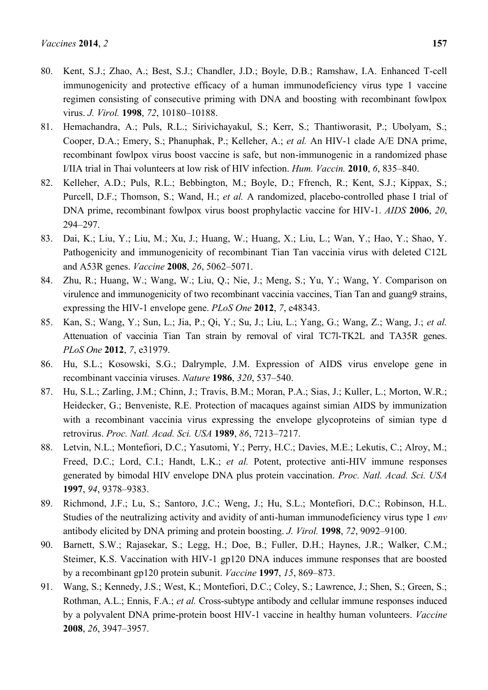- 80. Kent, S.J.; Zhao, A.; Best, S.J.; Chandler, J.D.; Boyle, D.B.; Ramshaw, I.A. Enhanced T-cell immunogenicity and protective efficacy of a human immunodeficiency virus type 1 vaccine regimen consisting of consecutive priming with DNA and boosting with recombinant fowlpox virus. *J. Virol.* **1998**, *72*, 10180–10188.
- 81. Hemachandra, A.; Puls, R.L.; Sirivichayakul, S.; Kerr, S.; Thantiworasit, P.; Ubolyam, S.; Cooper, D.A.; Emery, S.; Phanuphak, P.; Kelleher, A.; *et al.* An HIV-1 clade A/E DNA prime, recombinant fowlpox virus boost vaccine is safe, but non-immunogenic in a randomized phase I/IIA trial in Thai volunteers at low risk of HIV infection. *Hum. Vaccin.* **2010**, *6*, 835–840.
- 82. Kelleher, A.D.; Puls, R.L.; Bebbington, M.; Boyle, D.; Ffrench, R.; Kent, S.J.; Kippax, S.; Purcell, D.F.; Thomson, S.; Wand, H.; *et al.* A randomized, placebo-controlled phase I trial of DNA prime, recombinant fowlpox virus boost prophylactic vaccine for HIV-1. *AIDS* **2006**, *20*, 294–297.
- 83. Dai, K.; Liu, Y.; Liu, M.; Xu, J.; Huang, W.; Huang, X.; Liu, L.; Wan, Y.; Hao, Y.; Shao, Y. Pathogenicity and immunogenicity of recombinant Tian Tan vaccinia virus with deleted C12L and A53R genes. *Vaccine* **2008**, *26*, 5062–5071.
- 84. Zhu, R.; Huang, W.; Wang, W.; Liu, Q.; Nie, J.; Meng, S.; Yu, Y.; Wang, Y. Comparison on virulence and immunogenicity of two recombinant vaccinia vaccines, Tian Tan and guang9 strains, expressing the HIV-1 envelope gene. *PLoS One* **2012**, *7*, e48343.
- 85. Kan, S.; Wang, Y.; Sun, L.; Jia, P.; Qi, Y.; Su, J.; Liu, L.; Yang, G.; Wang, Z.; Wang, J.; *et al.* Attenuation of vaccinia Tian Tan strain by removal of viral TC7l-TK2L and TA35R genes. *PLoS One* **2012**, *7*, e31979.
- 86. Hu, S.L.; Kosowski, S.G.; Dalrymple, J.M. Expression of AIDS virus envelope gene in recombinant vaccinia viruses. *Nature* **1986**, *320*, 537–540.
- 87. Hu, S.L.; Zarling, J.M.; Chinn, J.; Travis, B.M.; Moran, P.A.; Sias, J.; Kuller, L.; Morton, W.R.; Heidecker, G.; Benveniste, R.E. Protection of macaques against simian AIDS by immunization with a recombinant vaccinia virus expressing the envelope glycoproteins of simian type d retrovirus. *Proc. Natl. Acad. Sci. USA* **1989**, *86*, 7213–7217.
- 88. Letvin, N.L.; Montefiori, D.C.; Yasutomi, Y.; Perry, H.C.; Davies, M.E.; Lekutis, C.; Alroy, M.; Freed, D.C.; Lord, C.I.; Handt, L.K.; *et al.* Potent, protective anti-HIV immune responses generated by bimodal HIV envelope DNA plus protein vaccination. *Proc. Natl. Acad. Sci. USA*  **1997**, *94*, 9378–9383.
- 89. Richmond, J.F.; Lu, S.; Santoro, J.C.; Weng, J.; Hu, S.L.; Montefiori, D.C.; Robinson, H.L. Studies of the neutralizing activity and avidity of anti-human immunodeficiency virus type 1 *env* antibody elicited by DNA priming and protein boosting. *J. Virol.* **1998**, *72*, 9092–9100.
- 90. Barnett, S.W.; Rajasekar, S.; Legg, H.; Doe, B.; Fuller, D.H.; Haynes, J.R.; Walker, C.M.; Steimer, K.S. Vaccination with HIV-1 gp120 DNA induces immune responses that are boosted by a recombinant gp120 protein subunit. *Vaccine* **1997**, *15*, 869–873.
- 91. Wang, S.; Kennedy, J.S.; West, K.; Montefiori, D.C.; Coley, S.; Lawrence, J.; Shen, S.; Green, S.; Rothman, A.L.; Ennis, F.A.; *et al.* Cross-subtype antibody and cellular immune responses induced by a polyvalent DNA prime-protein boost HIV-1 vaccine in healthy human volunteers. *Vaccine*  **2008**, *26*, 3947–3957.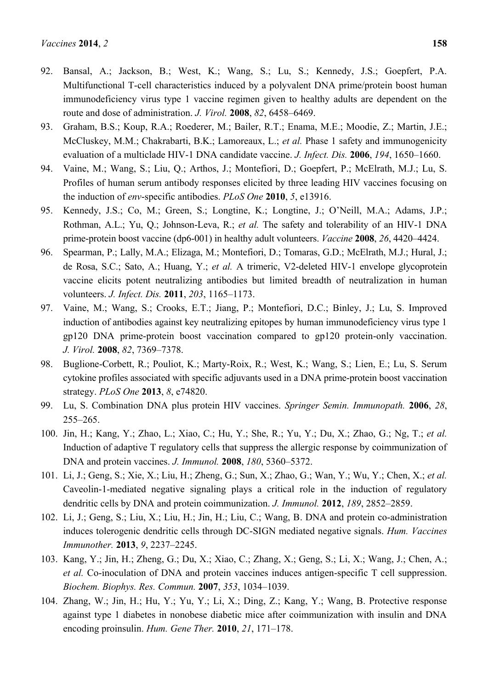- 93. Graham, B.S.; Koup, R.A.; Roederer, M.; Bailer, R.T.; Enama, M.E.; Moodie, Z.; Martin, J.E.; McCluskey, M.M.; Chakrabarti, B.K.; Lamoreaux, L.; *et al.* Phase 1 safety and immunogenicity evaluation of a multiclade HIV-1 DNA candidate vaccine. *J. Infect. Dis.* **2006**, *194*, 1650–1660.
- 94. Vaine, M.; Wang, S.; Liu, Q.; Arthos, J.; Montefiori, D.; Goepfert, P.; McElrath, M.J.; Lu, S. Profiles of human serum antibody responses elicited by three leading HIV vaccines focusing on the induction of *env*-specific antibodies. *PLoS One* **2010**, *5*, e13916.
- 95. Kennedy, J.S.; Co, M.; Green, S.; Longtine, K.; Longtine, J.; O'Neill, M.A.; Adams, J.P.; Rothman, A.L.; Yu, Q.; Johnson-Leva, R.; *et al.* The safety and tolerability of an HIV-1 DNA prime-protein boost vaccine (dp6-001) in healthy adult volunteers. *Vaccine* **2008**, *26*, 4420–4424.
- 96. Spearman, P.; Lally, M.A.; Elizaga, M.; Montefiori, D.; Tomaras, G.D.; McElrath, M.J.; Hural, J.; de Rosa, S.C.; Sato, A.; Huang, Y.; *et al.* A trimeric, V2-deleted HIV-1 envelope glycoprotein vaccine elicits potent neutralizing antibodies but limited breadth of neutralization in human volunteers. *J. Infect. Dis.* **2011**, *203*, 1165–1173.
- 97. Vaine, M.; Wang, S.; Crooks, E.T.; Jiang, P.; Montefiori, D.C.; Binley, J.; Lu, S. Improved induction of antibodies against key neutralizing epitopes by human immunodeficiency virus type 1 gp120 DNA prime-protein boost vaccination compared to gp120 protein-only vaccination. *J. Virol.* **2008**, *82*, 7369–7378.
- 98. Buglione-Corbett, R.; Pouliot, K.; Marty-Roix, R.; West, K.; Wang, S.; Lien, E.; Lu, S. Serum cytokine profiles associated with specific adjuvants used in a DNA prime-protein boost vaccination strategy. *PLoS One* **2013**, *8*, e74820.
- 99. Lu, S. Combination DNA plus protein HIV vaccines. *Springer Semin. Immunopath.* **2006**, *28*, 255–265.
- 100. Jin, H.; Kang, Y.; Zhao, L.; Xiao, C.; Hu, Y.; She, R.; Yu, Y.; Du, X.; Zhao, G.; Ng, T.; *et al.* Induction of adaptive T regulatory cells that suppress the allergic response by coimmunization of DNA and protein vaccines. *J. Immunol.* **2008**, *180*, 5360–5372.
- 101. Li, J.; Geng, S.; Xie, X.; Liu, H.; Zheng, G.; Sun, X.; Zhao, G.; Wan, Y.; Wu, Y.; Chen, X.; *et al.* Caveolin-1-mediated negative signaling plays a critical role in the induction of regulatory dendritic cells by DNA and protein coimmunization. *J. Immunol.* **2012**, *189*, 2852–2859.
- 102. Li, J.; Geng, S.; Liu, X.; Liu, H.; Jin, H.; Liu, C.; Wang, B. DNA and protein co-administration induces tolerogenic dendritic cells through DC-SIGN mediated negative signals. *Hum. Vaccines Immunother.* **2013**, *9*, 2237–2245.
- 103. Kang, Y.; Jin, H.; Zheng, G.; Du, X.; Xiao, C.; Zhang, X.; Geng, S.; Li, X.; Wang, J.; Chen, A.; *et al.* Co-inoculation of DNA and protein vaccines induces antigen-specific T cell suppression. *Biochem. Biophys. Res. Commun.* **2007**, *353*, 1034–1039.
- 104. Zhang, W.; Jin, H.; Hu, Y.; Yu, Y.; Li, X.; Ding, Z.; Kang, Y.; Wang, B. Protective response against type 1 diabetes in nonobese diabetic mice after coimmunization with insulin and DNA encoding proinsulin. *Hum. Gene Ther.* **2010**, *21*, 171–178.